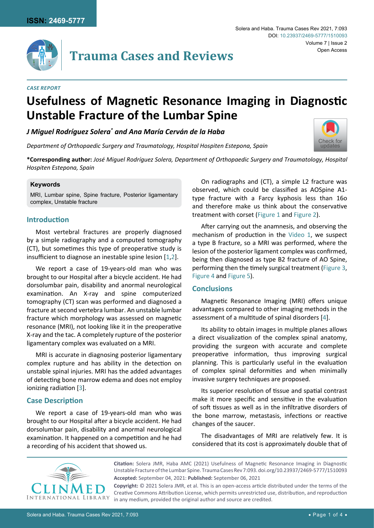

# **Trauma Cases and Reviews**

#### *Case Report*

# **Usefulness of Magnetic Resonance Imaging in Diagnostic Unstable Fracture of the Lumbar Spine**

*J Miguel Rodríguez Solera\* and Ana María Cerván de la Haba*

*Department of Orthopaedic Surgery and Traumatology, Hospital Hospiten Estepona, Spain*



**\*Corresponding author:** *José Miguel Rodríguez Solera, Department of Orthopaedic Surgery and Traumatology, Hospital Hospiten Estepona, Spain*

#### **Keywords**

MRI, Lumbar spine, Spine fracture, Posterior ligamentary complex, Unstable fracture

#### **Introduction**

Most vertebral fractures are properly diagnosed by a simple radiography and a computed tomography (CT), but sometimes this type of preoperative study is insufficient to diagnose an inestable spine lesion [[1,](#page-3-1)[2](#page-3-2)].

We report a case of 19-years-old man who was brought to our Hospital after a bicycle accident. He had dorsolumbar pain, disability and anormal neurological examination. An X-ray and spine computerized tomography (CT) scan was performed and diagnosed a fracture at second vertebra lumbar. An unstable lumbar fracture which morphology was assessed on magnetic resonance (MRI), not looking like it in the preoperative X-ray and the tac. A completely rupture of the posterior ligamentary complex was evaluated on a MRI.

MRI is accurate in diagnosing posterior ligamentary complex rupture and has ability in the detection on unstable spinal injuries. MRI has the added advantages of detecting bone marrow edema and does not employ ionizing radiation [[3](#page-3-3)].

### **Case Description**

We report a case of 19-years-old man who was brought to our Hospital after a bicycle accident. He had dorsolumbar pain, disability and anormal neurological examination. It happened on a competition and he had a recording of his accident that showed us.

On radiographs and (CT), a simple L2 fracture was observed, which could be classified as AOSpine A1 type fracture with a Farcy kyphosis less than 16o and therefore make us think about the conservative treatment with corset [\(Figure 1](#page-1-0) and [Figure 2\)](#page-1-1).

After carrying out the anamnesis, and observing the mechanism of production in the [Video 1,](https://clinmedjournals.org/articles/tcr/tcr-7-093-video-1.mp4) we suspect a type B fracture, so a MRI was performed, where the lesion of the posterior ligament complex was confirmed, being then diagnosed as type B2 fracture of AO Spine, performing then the timely surgical treatment ([Figure 3](#page-1-2), [Figure 4](#page-2-0) and [Figure 5\)](#page-2-1).

#### **Conclusions**

Magnetic Resonance Imaging (MRI) offers unique advantages compared to other imaging methods in the assessment of a multitude of spinal disorders [[4](#page-3-0)].

Its ability to obtain images in multiple planes allows a direct visualization of the complex spinal anatomy, providing the surgeon with accurate and complete preoperative information, thus improving surgical planning. This is particularly useful in the evaluation of complex spinal deformities and when minimally invasive surgery techniques are proposed.

Its superior resolution of tissue and spatial contrast make it more specific and sensitive in the evaluation of soft tissues as well as in the infiltrative disorders of the bone marrow, metastasis, infections or reactive changes of the saucer.

The disadvantages of MRI are relatively few. It is considered that its cost is approximately double that of



**Citation:** Solera JMR, Haba AMC (2021) Usefulness of Magnetic Resonance Imaging in Diagnostic Unstable Fracture of the Lumbar Spine. Trauma Cases Rev 7:093. [doi.org/10.23937/2469-5777/1510093](https://doi.org/10.23937/2469-5777/1510093) **Accepted:** September 04, 2021: **Published:** September 06, 2021

**Copyright:** © 2021 Solera JMR, et al. This is an open-access article distributed under the terms of the Creative Commons Attribution License, which permits unrestricted use, distribution, and reproduction in any medium, provided the original author and source are credited.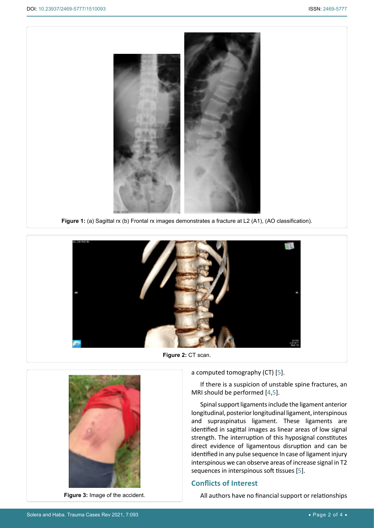<span id="page-1-0"></span>

<span id="page-1-1"></span>

**Figure 2:** CT scan.



**Figure 3:** Image of the accident.

a computed tomography (CT) [[5](#page-3-4)].

If there is a suspicion of unstable spine fractures, an MRI should be performed [[4](#page-3-0),[5](#page-3-4)].

Spinal support ligaments include the ligament anterior longitudinal, posterior longitudinal ligament, interspinous and supraspinatus ligament. These ligaments are identified in sagittal images as linear areas of low signal strength. The interruption of this hyposignal constitutes direct evidence of ligamentous disruption and can be identified in any pulse sequence In case of ligament injury interspinous we can observe areas of increase signal in T2 sequences in interspinous soft tissues [\[5\]](#page-3-4).

## **Conflicts of Interest**

All authors have no financial support or relationships

<span id="page-1-2"></span>Ĩ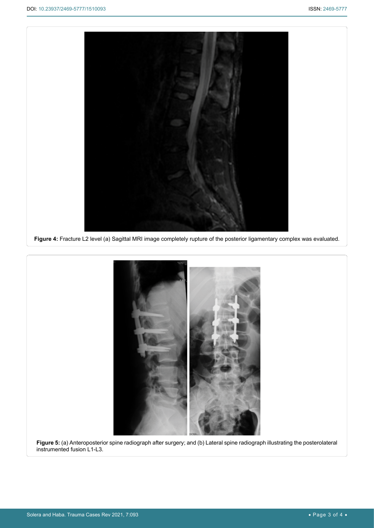<span id="page-2-0"></span>

<span id="page-2-1"></span>

instrumented fusion L1-L3.